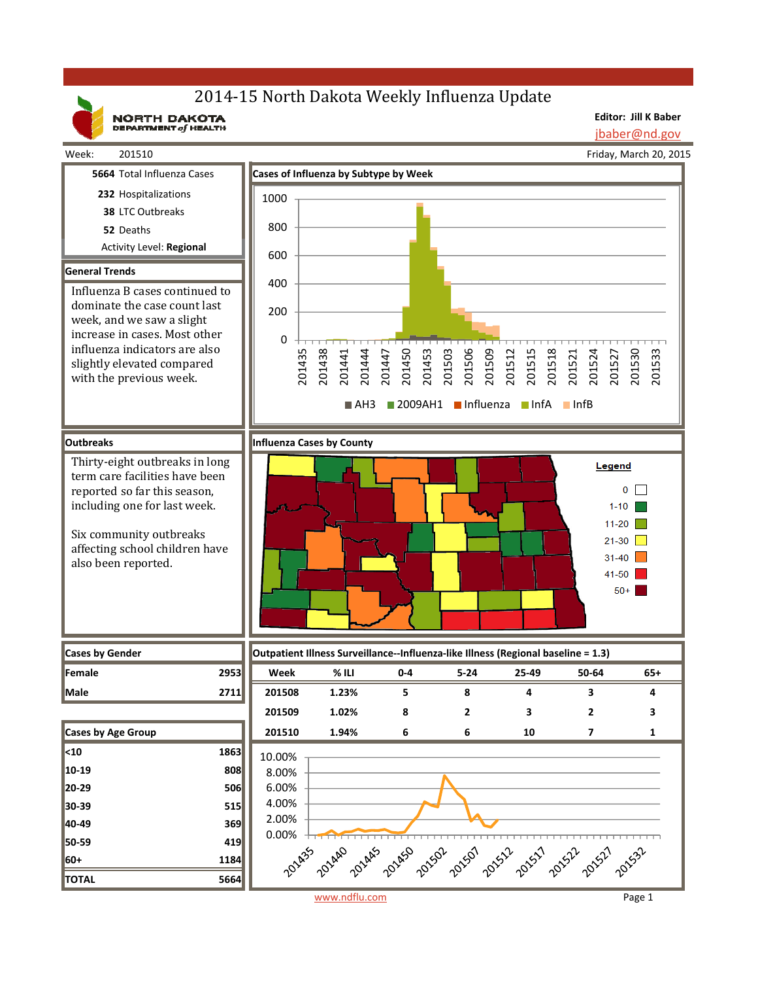# 2014-15 North Dakota Weekly Influenza Update

NORTH DAKOTA

**Editor: Jill K Baber** jbaber@nd.gov

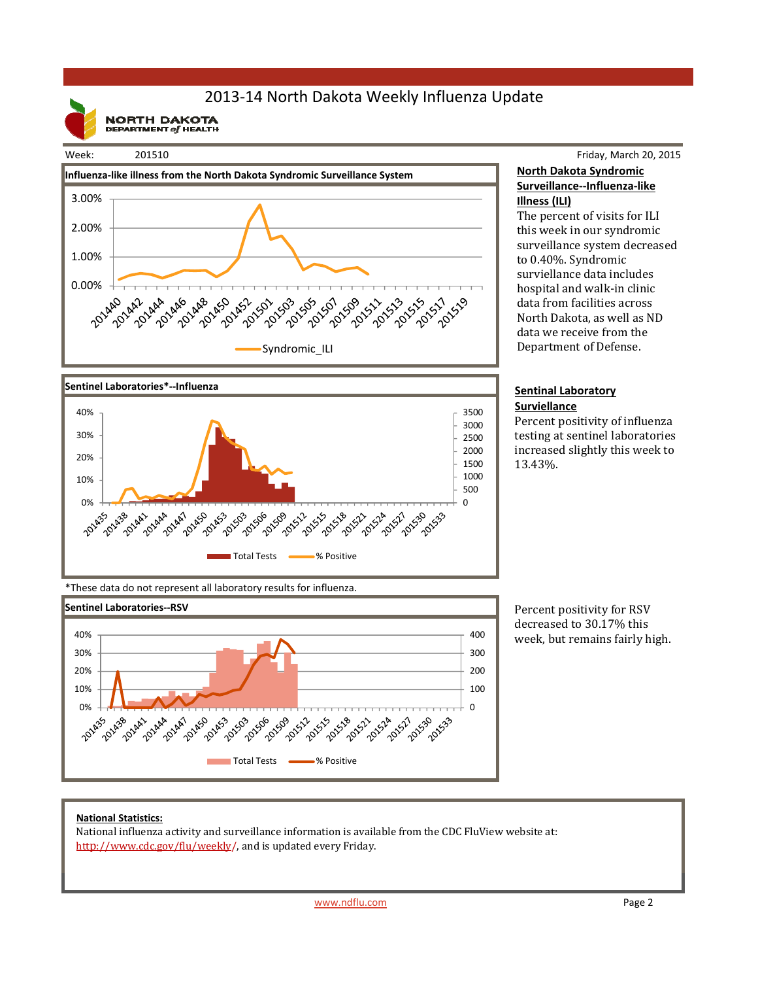# 2013‐14 North Dakota Weekly Influenza Update

**NORTH DAKOTA**<br>DEPARTMENT of HEALTH

### Week: 201510





### Friday, March 20, 2015 **North Dakota Syndromic Surveillance‐‐Influenza‐like Illness (ILI)**

The percent of visits for ILI this week in our syndromic surveillance system decreased to 0.40%. Syndromic surviellance data includes hospital and walk-in clinic data from facilities across North Dakota, as well as ND data we receive from the Department of Defense.

#### **Sentinal Laboratory Surviellance**

Percent positivity of influenza testing at sentinel laboratories increased slightly this week to 13.43%. 

\*These data do not represent all laboratory results for influenza.



Percent positivity for RSV decreased to 30.17% this week, but remains fairly high.

### **National Statistics:**

National influenza activity and surveillance information is available from the CDC FluView website at: http://www.cdc.gov/flu/weekly/, and is updated every Friday.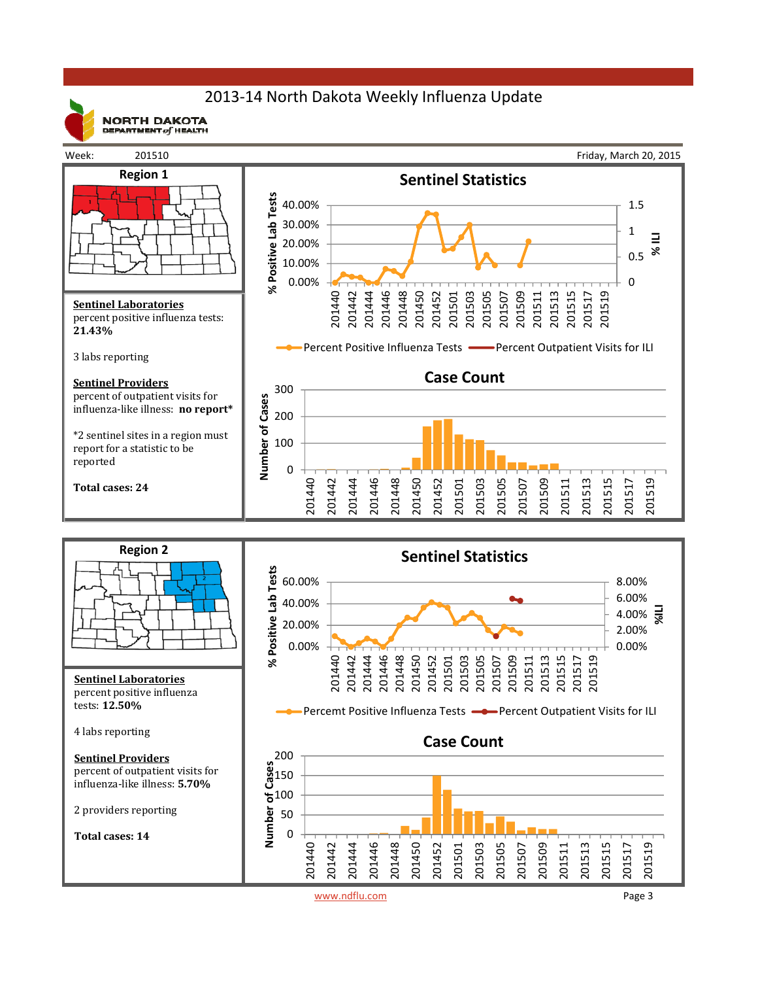# 2013‐14 North Dakota Weekly Influenza Update



**NORTH DAKOTA** DEPARTMENT  $of$  HEALTH